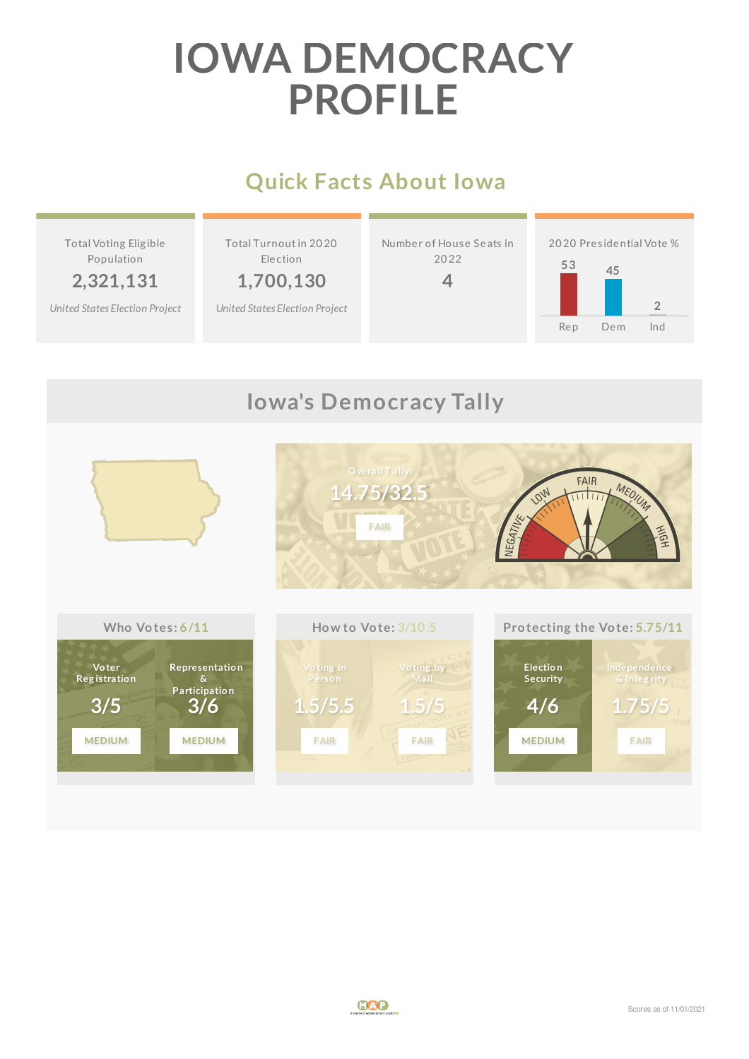# **IOWA DEMOCRACY PROFILE**

## **Quick Facts About Iowa**



## **Iowa's Democracy Tally**

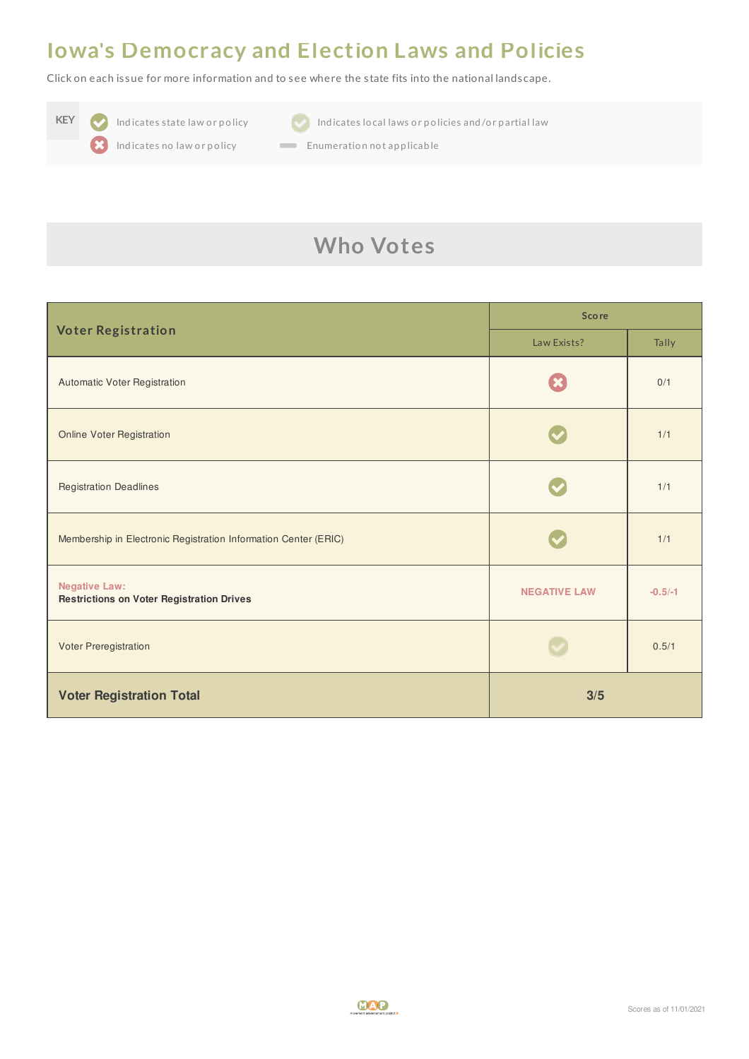#### **Iowa's Democracy and Election Laws and Policies**

Click on each is sue for more information and to see where the s tate fits into the national landscape.





**KEY Indicates state law or policy Indicates local laws or policies and/or partial law** 

Indicates no law or policy **Enumeration not applicable** 

## **Who Votes**

| <b>Voter Registration</b>                                                | <b>Score</b>        |           |
|--------------------------------------------------------------------------|---------------------|-----------|
|                                                                          | Law Exists?         | Tally     |
| Automatic Voter Registration                                             |                     | 0/1       |
| <b>Online Voter Registration</b>                                         |                     | 1/1       |
| <b>Registration Deadlines</b>                                            |                     | 1/1       |
| Membership in Electronic Registration Information Center (ERIC)          |                     | 1/1       |
| <b>Negative Law:</b><br><b>Restrictions on Voter Registration Drives</b> | <b>NEGATIVE LAW</b> | $-0.5/-1$ |
| Voter Preregistration                                                    |                     | 0.5/1     |
| <b>Voter Registration Total</b>                                          | 3/5                 |           |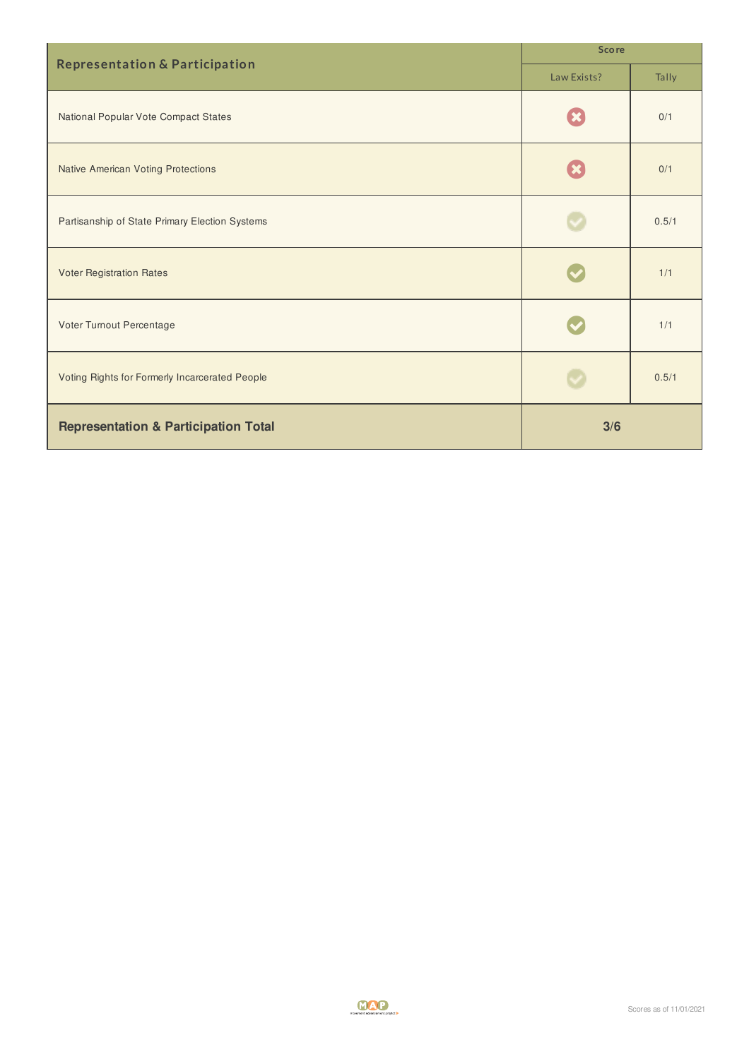|                                                 | <b>Score</b> |       |
|-------------------------------------------------|--------------|-------|
| <b>Representation &amp; Participation</b>       | Law Exists?  | Tally |
| National Popular Vote Compact States            |              | 0/1   |
| <b>Native American Voting Protections</b>       |              | 0/1   |
| Partisanship of State Primary Election Systems  |              | 0.5/1 |
| <b>Voter Registration Rates</b>                 |              | 1/1   |
| Voter Turnout Percentage                        |              | 1/1   |
| Voting Rights for Formerly Incarcerated People  |              | 0.5/1 |
| <b>Representation &amp; Participation Total</b> | 3/6          |       |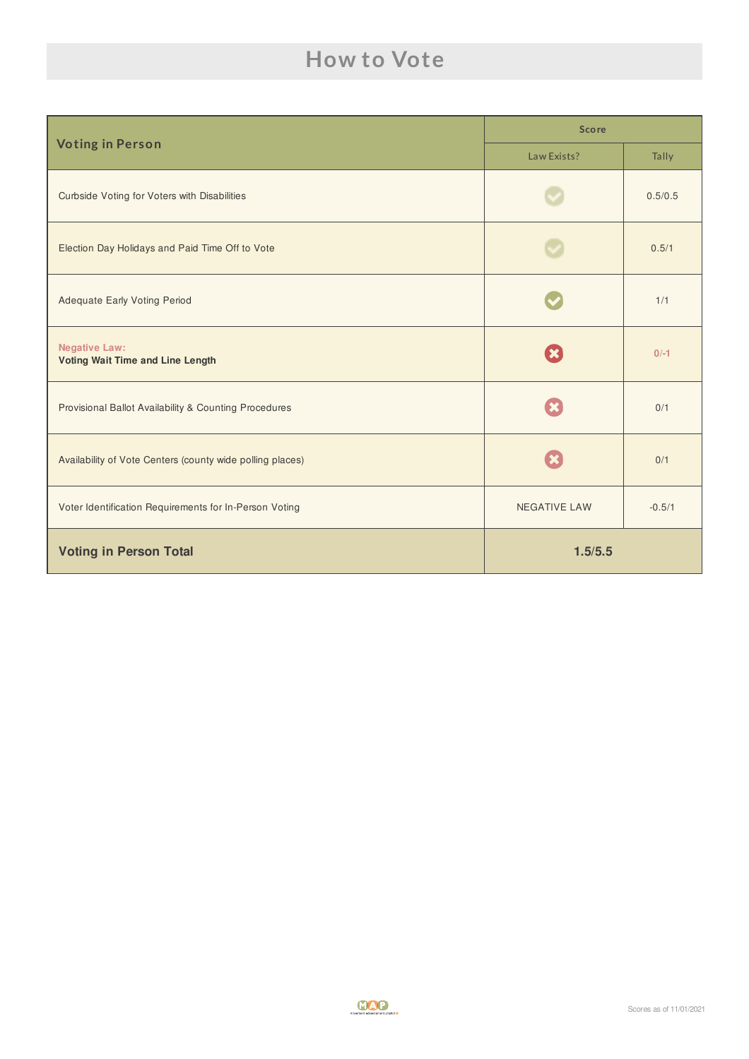## **How to Vote**

| <b>Voting in Person</b>                                         | <b>Score</b>        |          |
|-----------------------------------------------------------------|---------------------|----------|
|                                                                 | Law Exists?         | Tally    |
| Curbside Voting for Voters with Disabilities                    |                     | 0.5/0.5  |
| Election Day Holidays and Paid Time Off to Vote                 |                     | 0.5/1    |
| <b>Adequate Early Voting Period</b>                             |                     | 1/1      |
| <b>Negative Law:</b><br><b>Voting Wait Time and Line Length</b> |                     | $0/-1$   |
| Provisional Ballot Availability & Counting Procedures           |                     | 0/1      |
| Availability of Vote Centers (county wide polling places)       |                     | 0/1      |
| Voter Identification Requirements for In-Person Voting          | <b>NEGATIVE LAW</b> | $-0.5/1$ |
| <b>Voting in Person Total</b>                                   | 1.5/5.5             |          |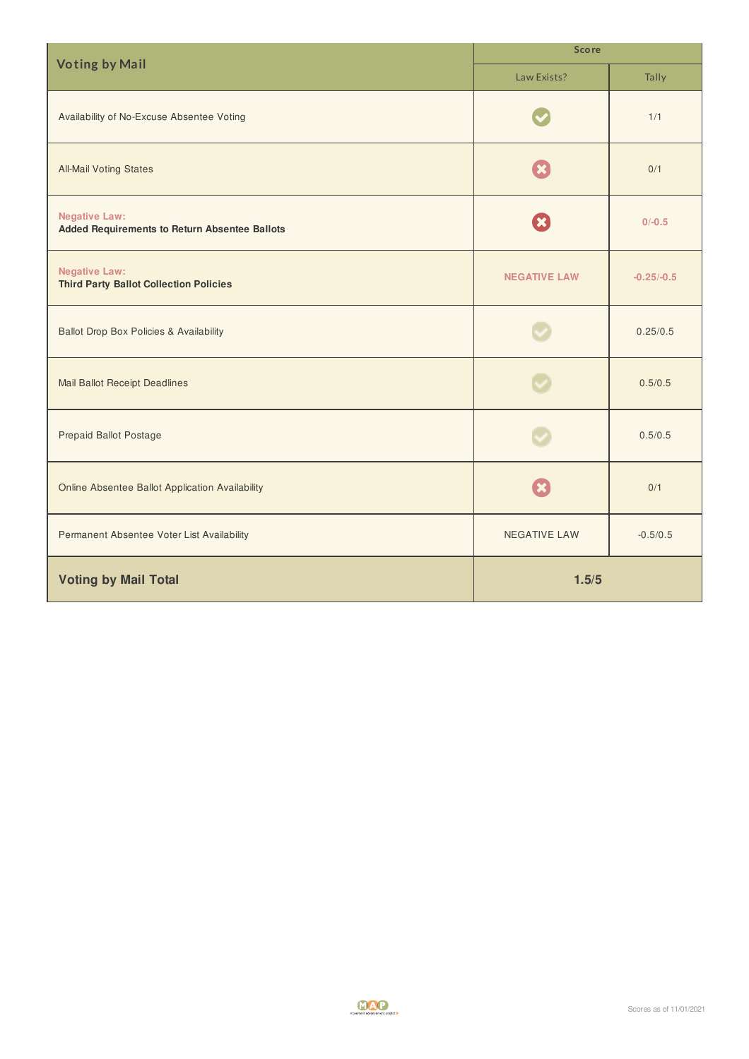| <b>Voting by Mail</b>                                                        | <b>Score</b>        |              |
|------------------------------------------------------------------------------|---------------------|--------------|
|                                                                              | Law Exists?         | Tally        |
| Availability of No-Excuse Absentee Voting                                    |                     | 1/1          |
| <b>All-Mail Voting States</b>                                                |                     | 0/1          |
| <b>Negative Law:</b><br><b>Added Requirements to Return Absentee Ballots</b> |                     | $0/-0.5$     |
| <b>Negative Law:</b><br><b>Third Party Ballot Collection Policies</b>        | <b>NEGATIVE LAW</b> | $-0.25/-0.5$ |
| <b>Ballot Drop Box Policies &amp; Availability</b>                           |                     | 0.25/0.5     |
| <b>Mail Ballot Receipt Deadlines</b>                                         |                     | 0.5/0.5      |
| <b>Prepaid Ballot Postage</b>                                                |                     | 0.5/0.5      |
| <b>Online Absentee Ballot Application Availability</b>                       |                     | 0/1          |
| Permanent Absentee Voter List Availability                                   | NEGATIVE LAW        | $-0.5/0.5$   |
| <b>Voting by Mail Total</b>                                                  | 1.5/5               |              |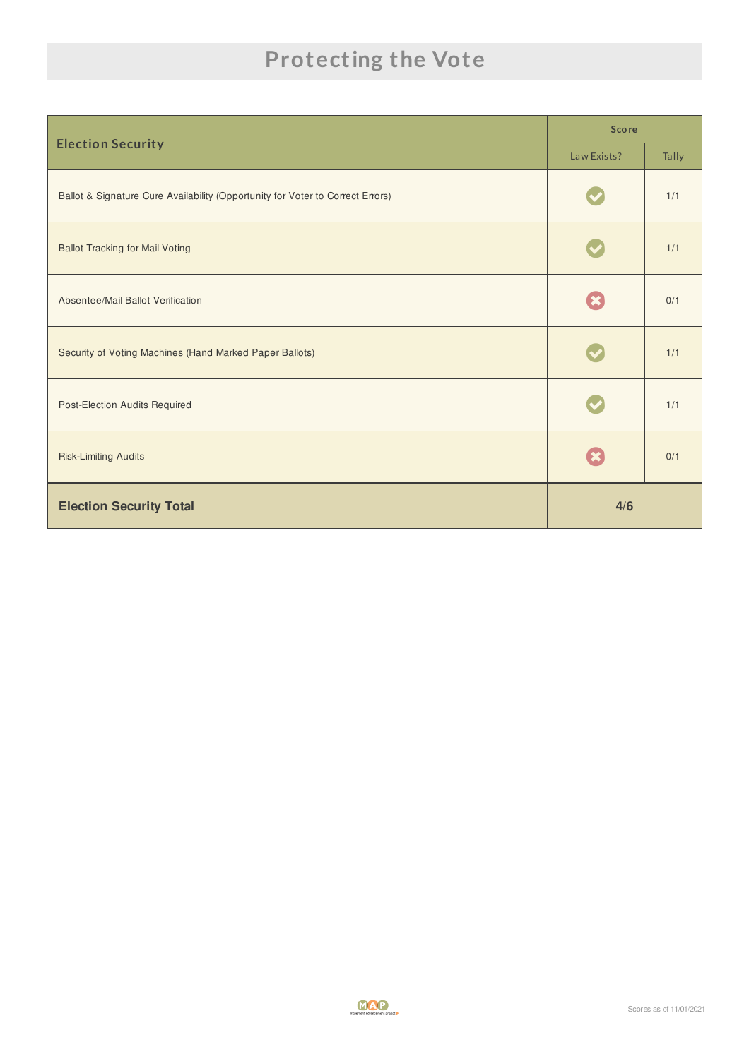## **Protecting the Vote**

|                                                                                | <b>Score</b> |       |
|--------------------------------------------------------------------------------|--------------|-------|
| <b>Election Security</b>                                                       | Law Exists?  | Tally |
| Ballot & Signature Cure Availability (Opportunity for Voter to Correct Errors) |              | 1/1   |
| <b>Ballot Tracking for Mail Voting</b>                                         |              | 1/1   |
| Absentee/Mail Ballot Verification                                              |              | 0/1   |
| Security of Voting Machines (Hand Marked Paper Ballots)                        |              | 1/1   |
| Post-Election Audits Required                                                  |              | 1/1   |
| <b>Risk-Limiting Audits</b>                                                    |              | 0/1   |
| <b>Election Security Total</b>                                                 | 4/6          |       |